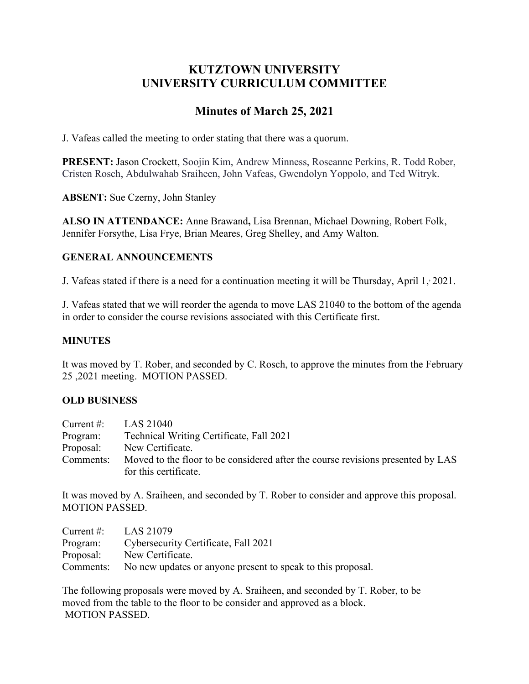# **KUTZTOWN UNIVERSITY UNIVERSITY CURRICULUM COMMITTEE**

# **Minutes of March 25, 2021**

J. Vafeas called the meeting to order stating that there was a quorum.

**PRESENT:** Jason Crockett, Soojin Kim, Andrew Minness, Roseanne Perkins, R. Todd Rober, Cristen Rosch, Abdulwahab Sraiheen, John Vafeas, Gwendolyn Yoppolo, and Ted Witryk.

**ABSENT:** Sue Czerny, John Stanley

**ALSO IN ATTENDANCE:** Anne Brawand**,** Lisa Brennan, Michael Downing, Robert Folk, Jennifer Forsythe, Lisa Frye, Brian Meares, Greg Shelley, and Amy Walton.

# **GENERAL ANNOUNCEMENTS**

J. Vafeas stated if there is a need for a continuation meeting it will be Thursday, April 1, 2021.

J. Vafeas stated that we will reorder the agenda to move LAS 21040 to the bottom of the agenda in order to consider the course revisions associated with this Certificate first.

## **MINUTES**

It was moved by T. Rober, and seconded by C. Rosch, to approve the minutes from the February 25 ,2021 meeting. MOTION PASSED.

# **OLD BUSINESS**

| Current $#$ : | LAS 21040                                                                       |
|---------------|---------------------------------------------------------------------------------|
| Program:      | Technical Writing Certificate, Fall 2021                                        |
| Proposal:     | New Certificate.                                                                |
| Comments:     | Moved to the floor to be considered after the course revisions presented by LAS |
|               | for this certificate.                                                           |

It was moved by A. Sraiheen, and seconded by T. Rober to consider and approve this proposal. MOTION PASSED.

| Current #: $LAS 21079$ |                                                                       |
|------------------------|-----------------------------------------------------------------------|
| Program:               | Cybersecurity Certificate, Fall 2021                                  |
| Proposal:              | New Certificate.                                                      |
|                        | Comments: No new updates or anyone present to speak to this proposal. |

The following proposals were moved by A. Sraiheen, and seconded by T. Rober, to be moved from the table to the floor to be consider and approved as a block. MOTION PASSED.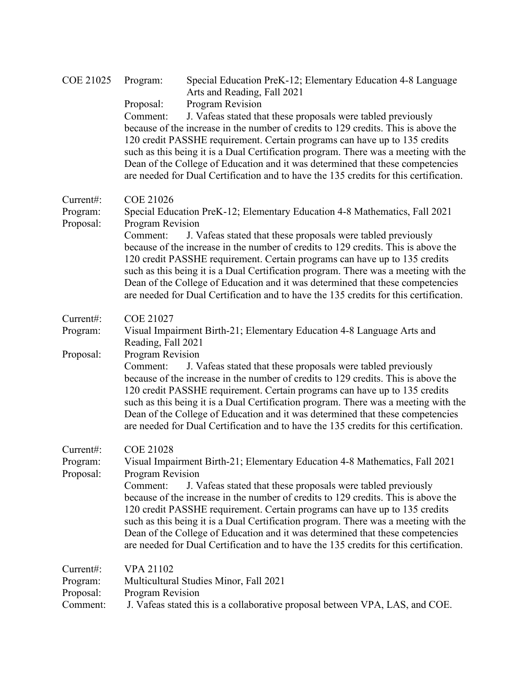| <b>COE 21025</b>                   | Program:                             | Special Education PreK-12; Elementary Education 4-8 Language<br>Arts and Reading, Fall 2021                                                                                                                                                                                                                                                                                                                                                                                                        |
|------------------------------------|--------------------------------------|----------------------------------------------------------------------------------------------------------------------------------------------------------------------------------------------------------------------------------------------------------------------------------------------------------------------------------------------------------------------------------------------------------------------------------------------------------------------------------------------------|
|                                    | Proposal:                            | Program Revision                                                                                                                                                                                                                                                                                                                                                                                                                                                                                   |
|                                    | Comment:                             | J. Vafeas stated that these proposals were tabled previously<br>because of the increase in the number of credits to 129 credits. This is above the<br>120 credit PASSHE requirement. Certain programs can have up to 135 credits<br>such as this being it is a Dual Certification program. There was a meeting with the                                                                                                                                                                            |
|                                    |                                      | Dean of the College of Education and it was determined that these competencies<br>are needed for Dual Certification and to have the 135 credits for this certification.                                                                                                                                                                                                                                                                                                                            |
| Current#:<br>Program:<br>Proposal: | <b>COE 21026</b><br>Program Revision | Special Education PreK-12; Elementary Education 4-8 Mathematics, Fall 2021                                                                                                                                                                                                                                                                                                                                                                                                                         |
|                                    | Comment:                             | J. Vafeas stated that these proposals were tabled previously<br>because of the increase in the number of credits to 129 credits. This is above the<br>120 credit PASSHE requirement. Certain programs can have up to 135 credits<br>such as this being it is a Dual Certification program. There was a meeting with the<br>Dean of the College of Education and it was determined that these competencies<br>are needed for Dual Certification and to have the 135 credits for this certification. |
| Current#:                          | <b>COE 21027</b>                     |                                                                                                                                                                                                                                                                                                                                                                                                                                                                                                    |
| Program:                           | Reading, Fall 2021                   | Visual Impairment Birth-21; Elementary Education 4-8 Language Arts and                                                                                                                                                                                                                                                                                                                                                                                                                             |
| Proposal:                          | Program Revision<br>Comment:         | J. Vafeas stated that these proposals were tabled previously<br>because of the increase in the number of credits to 129 credits. This is above the<br>120 credit PASSHE requirement. Certain programs can have up to 135 credits<br>such as this being it is a Dual Certification program. There was a meeting with the<br>Dean of the College of Education and it was determined that these competencies<br>are needed for Dual Certification and to have the 135 credits for this certification. |
| Current#:<br>Program:              | <b>COE 21028</b>                     | Visual Impairment Birth-21; Elementary Education 4-8 Mathematics, Fall 2021                                                                                                                                                                                                                                                                                                                                                                                                                        |
| Proposal:                          | Program Revision<br>Comment:         | J. Vafeas stated that these proposals were tabled previously<br>because of the increase in the number of credits to 129 credits. This is above the<br>120 credit PASSHE requirement. Certain programs can have up to 135 credits<br>such as this being it is a Dual Certification program. There was a meeting with the<br>Dean of the College of Education and it was determined that these competencies<br>are needed for Dual Certification and to have the 135 credits for this certification. |
| Current#:<br>Program:<br>Proposal: | <b>VPA 21102</b><br>Program Revision | Multicultural Studies Minor, Fall 2021                                                                                                                                                                                                                                                                                                                                                                                                                                                             |
| Comment:                           |                                      | J. Vafeas stated this is a collaborative proposal between VPA, LAS, and COE.                                                                                                                                                                                                                                                                                                                                                                                                                       |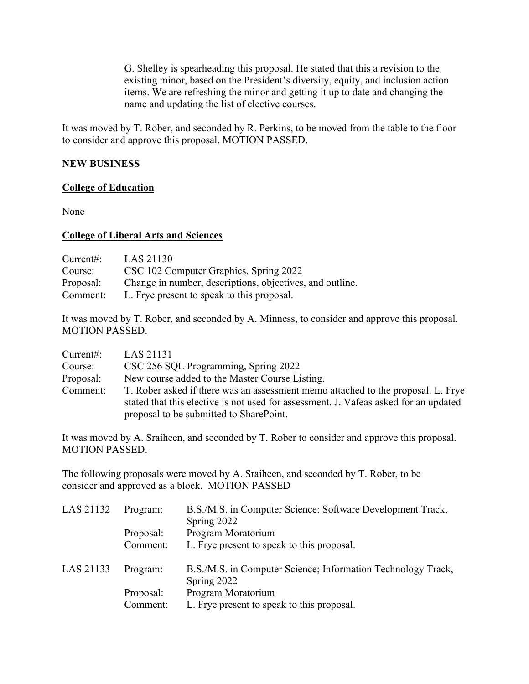G. Shelley is spearheading this proposal. He stated that this a revision to the existing minor, based on the President's diversity, equity, and inclusion action items. We are refreshing the minor and getting it up to date and changing the name and updating the list of elective courses.

It was moved by T. Rober, and seconded by R. Perkins, to be moved from the table to the floor to consider and approve this proposal. MOTION PASSED.

## **NEW BUSINESS**

#### **College of Education**

None

#### **College of Liberal Arts and Sciences**

| Current:  | LAS 21130                                                |
|-----------|----------------------------------------------------------|
| Course:   | CSC 102 Computer Graphics, Spring 2022                   |
| Proposal: | Change in number, descriptions, objectives, and outline. |
| Comment:  | L. Frye present to speak to this proposal.               |

It was moved by T. Rober, and seconded by A. Minness, to consider and approve this proposal. MOTION PASSED.

| Current:  | LAS 21131                                                                                                                                                                |
|-----------|--------------------------------------------------------------------------------------------------------------------------------------------------------------------------|
| Course:   | CSC 256 SQL Programming, Spring 2022                                                                                                                                     |
| Proposal: | New course added to the Master Course Listing.                                                                                                                           |
| Comment:  | T. Rober asked if there was an assessment memo attached to the proposal. L. Frye<br>stated that this elective is not used for assessment. J. Vafeas asked for an updated |
|           | proposal to be submitted to SharePoint.                                                                                                                                  |

It was moved by A. Sraiheen, and seconded by T. Rober to consider and approve this proposal. MOTION PASSED.

The following proposals were moved by A. Sraiheen, and seconded by T. Rober, to be consider and approved as a block. MOTION PASSED

| LAS 21132 | Program:  | B.S./M.S. in Computer Science: Software Development Track,<br>Spring 2022   |
|-----------|-----------|-----------------------------------------------------------------------------|
|           | Proposal: | Program Moratorium                                                          |
|           | Comment:  | L. Frye present to speak to this proposal.                                  |
| LAS 21133 | Program:  | B.S./M.S. in Computer Science; Information Technology Track,<br>Spring 2022 |
|           | Proposal: | Program Moratorium                                                          |
|           | Comment:  | L. Frye present to speak to this proposal.                                  |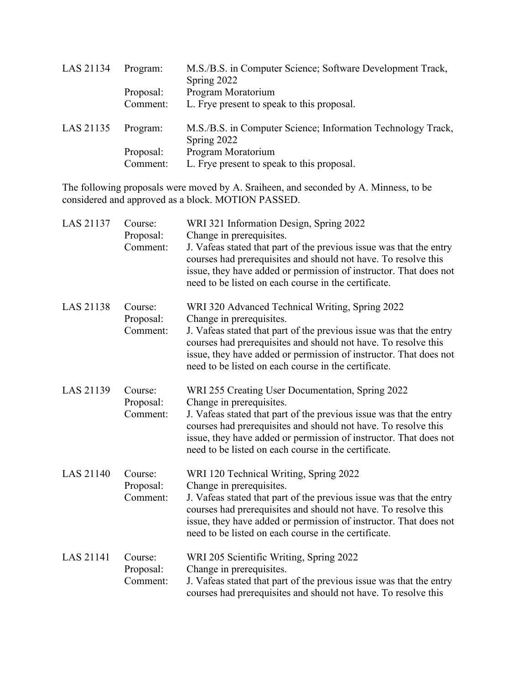| LAS 21134 | Program:  | M.S./B.S. in Computer Science; Software Development Track,<br>Spring 2022   |
|-----------|-----------|-----------------------------------------------------------------------------|
|           | Proposal: | Program Moratorium                                                          |
|           | Comment:  | L. Frye present to speak to this proposal.                                  |
| LAS 21135 | Program:  | M.S./B.S. in Computer Science; Information Technology Track,<br>Spring 2022 |
|           | Proposal: | Program Moratorium                                                          |
|           | Comment:  | L. Frye present to speak to this proposal.                                  |

The following proposals were moved by A. Sraiheen, and seconded by A. Minness, to be considered and approved as a block. MOTION PASSED.

| <b>LAS 21137</b> | Course:<br>Proposal:<br>Comment: | WRI 321 Information Design, Spring 2022<br>Change in prerequisites.<br>J. Vafeas stated that part of the previous issue was that the entry<br>courses had prerequisites and should not have. To resolve this<br>issue, they have added or permission of instructor. That does not<br>need to be listed on each course in the certificate.          |
|------------------|----------------------------------|----------------------------------------------------------------------------------------------------------------------------------------------------------------------------------------------------------------------------------------------------------------------------------------------------------------------------------------------------|
| <b>LAS 21138</b> | Course:<br>Proposal:<br>Comment: | WRI 320 Advanced Technical Writing, Spring 2022<br>Change in prerequisites.<br>J. Vafeas stated that part of the previous issue was that the entry<br>courses had prerequisites and should not have. To resolve this<br>issue, they have added or permission of instructor. That does not<br>need to be listed on each course in the certificate.  |
| LAS 21139        | Course:<br>Proposal:<br>Comment: | WRI 255 Creating User Documentation, Spring 2022<br>Change in prerequisites.<br>J. Vafeas stated that part of the previous issue was that the entry<br>courses had prerequisites and should not have. To resolve this<br>issue, they have added or permission of instructor. That does not<br>need to be listed on each course in the certificate. |
| <b>LAS 21140</b> | Course:<br>Proposal:<br>Comment: | WRI 120 Technical Writing, Spring 2022<br>Change in prerequisites.<br>J. Vafeas stated that part of the previous issue was that the entry<br>courses had prerequisites and should not have. To resolve this<br>issue, they have added or permission of instructor. That does not<br>need to be listed on each course in the certificate.           |
| LAS 21141        | Course:<br>Proposal:<br>Comment: | WRI 205 Scientific Writing, Spring 2022<br>Change in prerequisites.<br>J. Vafeas stated that part of the previous issue was that the entry<br>courses had prerequisites and should not have. To resolve this                                                                                                                                       |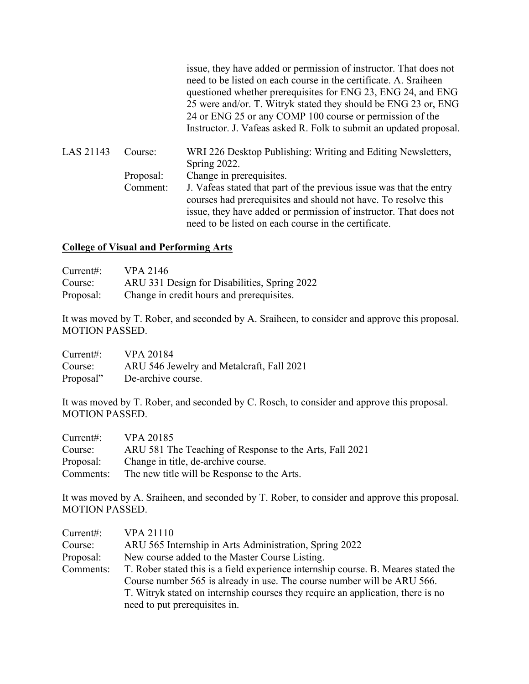|           |           | issue, they have added or permission of instructor. That does not<br>need to be listed on each course in the certificate. A. Sraiheen<br>questioned whether prerequisites for ENG 23, ENG 24, and ENG<br>25 were and/or. T. Witryk stated they should be ENG 23 or, ENG<br>24 or ENG 25 or any COMP 100 course or permission of the<br>Instructor. J. Vafeas asked R. Folk to submit an updated proposal. |
|-----------|-----------|-----------------------------------------------------------------------------------------------------------------------------------------------------------------------------------------------------------------------------------------------------------------------------------------------------------------------------------------------------------------------------------------------------------|
| LAS 21143 | Course:   | WRI 226 Desktop Publishing: Writing and Editing Newsletters,<br>Spring 2022.                                                                                                                                                                                                                                                                                                                              |
|           | Proposal: | Change in prerequisites.                                                                                                                                                                                                                                                                                                                                                                                  |
|           | Comment:  | J. Vafeas stated that part of the previous issue was that the entry<br>courses had prerequisites and should not have. To resolve this<br>issue, they have added or permission of instructor. That does not<br>need to be listed on each course in the certificate.                                                                                                                                        |

## **College of Visual and Performing Arts**

| Current:  | <b>VPA 2146</b>                              |
|-----------|----------------------------------------------|
| Course:   | ARU 331 Design for Disabilities, Spring 2022 |
| Proposal: | Change in credit hours and prerequisites.    |

It was moved by T. Rober, and seconded by A. Sraiheen, to consider and approve this proposal. MOTION PASSED.

| Current:  | <b>VPA 20184</b>                          |
|-----------|-------------------------------------------|
| Course:   | ARU 546 Jewelry and Metalcraft, Fall 2021 |
| Proposal" | De-archive course.                        |

It was moved by T. Rober, and seconded by C. Rosch, to consider and approve this proposal. MOTION PASSED.

| Current:  | <b>VPA 20185</b>                                        |
|-----------|---------------------------------------------------------|
| Course:   | ARU 581 The Teaching of Response to the Arts, Fall 2021 |
| Proposal: | Change in title, de-archive course.                     |
| Comments: | The new title will be Response to the Arts.             |

It was moved by A. Sraiheen, and seconded by T. Rober, to consider and approve this proposal. MOTION PASSED.

| Current:  | <b>VPA 21110</b>                                                                   |
|-----------|------------------------------------------------------------------------------------|
| Course:   | ARU 565 Internship in Arts Administration, Spring 2022                             |
| Proposal: | New course added to the Master Course Listing.                                     |
| Comments: | T. Rober stated this is a field experience internship course. B. Meares stated the |
|           | Course number 565 is already in use. The course number will be ARU 566.            |
|           | T. Witryk stated on internship courses they require an application, there is no    |
|           | need to put prerequisites in.                                                      |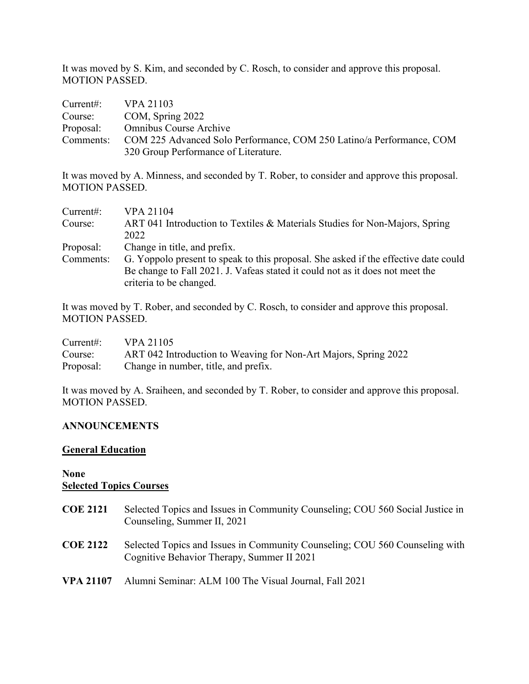It was moved by S. Kim, and seconded by C. Rosch, to consider and approve this proposal. MOTION PASSED.

| Current: | VPA 21103                                                                      |
|----------|--------------------------------------------------------------------------------|
| Course:  | COM, Spring 2022                                                               |
|          | Proposal: Omnibus Course Archive                                               |
|          | Comments: COM 225 Advanced Solo Performance, COM 250 Latino/a Performance, COM |
|          | 320 Group Performance of Literature.                                           |

It was moved by A. Minness, and seconded by T. Rober, to consider and approve this proposal. MOTION PASSED.

| Current:  | VPA 21104                                                                           |
|-----------|-------------------------------------------------------------------------------------|
| Course:   | ART 041 Introduction to Textiles & Materials Studies for Non-Majors, Spring         |
|           | 2022                                                                                |
| Proposal: | Change in title, and prefix.                                                        |
| Comments: | G. Yoppolo present to speak to this proposal. She asked if the effective date could |
|           | Be change to Fall 2021. J. Vafeas stated it could not as it does not meet the       |
|           | criteria to be changed.                                                             |

It was moved by T. Rober, and seconded by C. Rosch, to consider and approve this proposal. MOTION PASSED.

| Current#: | <b>VPA 21105</b>                                                |
|-----------|-----------------------------------------------------------------|
| Course:   | ART 042 Introduction to Weaving for Non-Art Majors, Spring 2022 |
| Proposal: | Change in number, title, and prefix.                            |

It was moved by A. Sraiheen, and seconded by T. Rober, to consider and approve this proposal. MOTION PASSED.

# **ANNOUNCEMENTS**

#### **General Education**

#### **None Selected Topics Courses**

- **COE 2121** Selected Topics and Issues in Community Counseling; COU 560 Social Justice in Counseling, Summer II, 2021 **COE 2122** Selected Topics and Issues in Community Counseling; COU 560 Counseling with Cognitive Behavior Therapy, Summer II 2021
- **VPA 21107** Alumni Seminar: ALM 100 The Visual Journal, Fall 2021